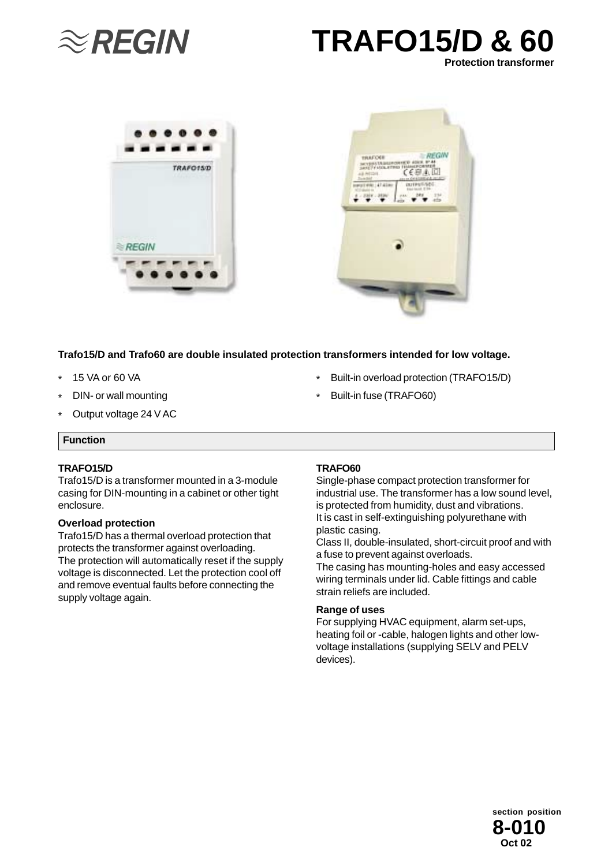







### **Trafo15/D and Trafo60 are double insulated protection transformers intended for low voltage.**

- \* 15 VA or 60 VA
- \* DIN- or wall mounting
- \* Output voltage 24 V AC

## **Function**

### **TRAFO15/D**

Trafo15/D is a transformer mounted in a 3-module casing for DIN-mounting in a cabinet or other tight enclosure.

#### **Overload protection**

Trafo15/D has a thermal overload protection that protects the transformer against overloading. The protection will automatically reset if the supply voltage is disconnected. Let the protection cool off and remove eventual faults before connecting the supply voltage again.

#### **TRAFO60**

\*

\*

Single-phase compact protection transformer for industrial use. The transformer has a low sound level, is protected from humidity, dust and vibrations. It is cast in self-extinguishing polyurethane with plastic casing.

Built-in overload protection (TRAFO15/D)

Built-in fuse (TRAFO60)

Class II, double-insulated, short-circuit proof and with a fuse to prevent against overloads.

The casing has mounting-holes and easy accessed wiring terminals under lid. Cable fittings and cable strain reliefs are included.

### **Range of uses**

For supplying HVAC equipment, alarm set-ups, heating foil or -cable, halogen lights and other lowvoltage installations (supplying SELV and PELV devices).